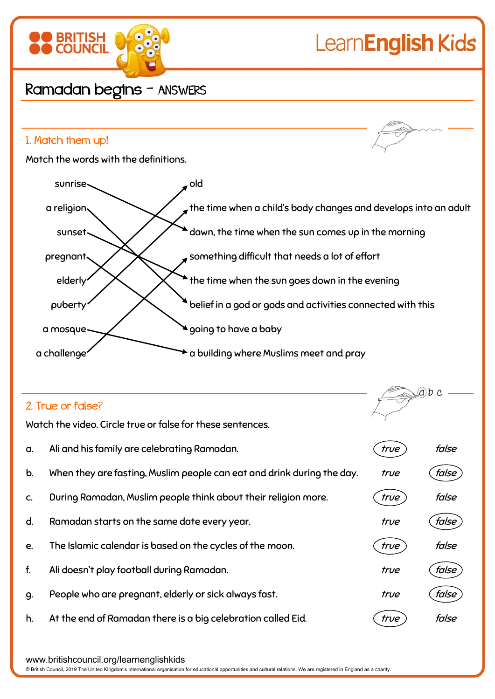

## 2. True or false?

Watch the video. Circle true or false for these sentences.

| a.            | Ali and his family are celebrating Ramadan.                            | true | false        |
|---------------|------------------------------------------------------------------------|------|--------------|
| $\mathbf b$ . | When they are fasting, Muslim people can eat and drink during the day. | true | false        |
| C.            | During Ramadan, Muslim people think about their religion more.         | true | false        |
| d.            | Ramadan starts on the same date every year.                            | true | false        |
| e.            | The Islamic calendar is based on the cycles of the moon.               | true | false        |
| f.            | Ali doesn't play football during Ramadan.                              | true | false        |
| 9.            | People who are pregnant, elderly or sick always fast.                  | true | <i>false</i> |
| h.            | At the end of Ramadan there is a big celebration called Eid.           | true | false        |

www.britishcouncil.org/learnenglishkids

© British Council, 2019 The United Kingdom's international organisation for educational opportunities and cultural relations. We are registered in England as a charity.